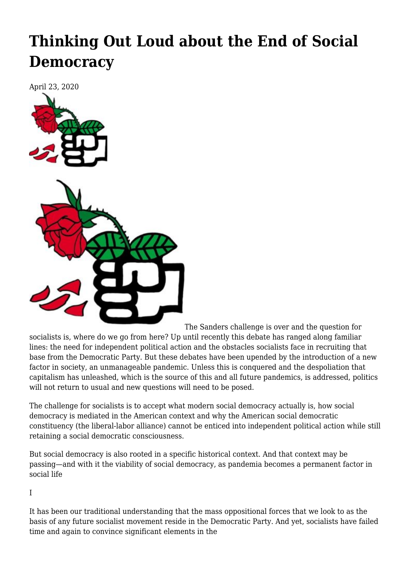## **[Thinking Out Loud about the End of Social](https://newpol.org/thinking-out-loud-about-the-end-of-social-democracy/) [Democracy](https://newpol.org/thinking-out-loud-about-the-end-of-social-democracy/)**

April 23, 2020



The Sanders challenge is over and the question for socialists is, where do we go from here? Up until recently this debate has ranged along familiar lines: the need for independent political action and the obstacles socialists face in recruiting that base from the Democratic Party. But these debates have been upended by the introduction of a new factor in society, an unmanageable pandemic. Unless this is conquered and the despoliation that capitalism has unleashed, which is the source of this and all future pandemics, is addressed, politics will not return to usual and new questions will need to be posed.

The challenge for socialists is to accept what modern social democracy actually is, how social democracy is mediated in the American context and why the American social democratic constituency (the liberal-labor alliance) cannot be enticed into independent political action while still retaining a social democratic consciousness.

But social democracy is also rooted in a specific historical context. And that context may be passing—and with it the viability of social democracy, as pandemia becomes a permanent factor in social life

I

It has been our traditional understanding that the mass oppositional forces that we look to as the basis of any future socialist movement reside in the Democratic Party. And yet, socialists have failed time and again to convince significant elements in the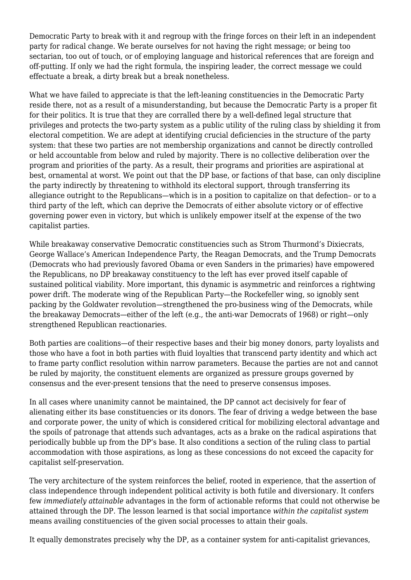Democratic Party to break with it and regroup with the fringe forces on their left in an independent party for radical change. We berate ourselves for not having the right message; or being too sectarian, too out of touch, or of employing language and historical references that are foreign and off-putting. If only we had the right formula, the inspiring leader, the correct message we could effectuate a break, a dirty break but a break nonetheless.

What we have failed to appreciate is that the left-leaning constituencies in the Democratic Party reside there, not as a result of a misunderstanding, but because the Democratic Party is a proper fit for their politics. It is true that they are corralled there by a well-defined legal structure that privileges and protects the two-party system as a public utility of the ruling class by shielding it from electoral competition. We are adept at identifying crucial deficiencies in the structure of the party system: that these two parties are not membership organizations and cannot be directly controlled or held accountable from below and ruled by majority. There is no collective deliberation over the program and priorities of the party. As a result, their programs and priorities are aspirational at best, ornamental at worst. We point out that the DP base, or factions of that base, can only discipline the party indirectly by threatening to withhold its electoral support, through transferring its allegiance outright to the Republicans—which is in a position to capitalize on that defection– or to a third party of the left, which can deprive the Democrats of either absolute victory or of effective governing power even in victory, but which is unlikely empower itself at the expense of the two capitalist parties.

While breakaway conservative Democratic constituencies such as Strom Thurmond's Dixiecrats, George Wallace's American Independence Party, the Reagan Democrats, and the Trump Democrats (Democrats who had previously favored Obama or even Sanders in the primaries) have empowered the Republicans, no DP breakaway constituency to the left has ever proved itself capable of sustained political viability. More important, this dynamic is asymmetric and reinforces a rightwing power drift. The moderate wing of the Republican Party—the Rockefeller wing, so ignobly sent packing by the Goldwater revolution—strengthened the pro-business wing of the Democrats, while the breakaway Democrats—either of the left (e.g., the anti-war Democrats of 1968) or right—only strengthened Republican reactionaries.

Both parties are coalitions—of their respective bases and their big money donors, party loyalists and those who have a foot in both parties with fluid loyalties that transcend party identity and which act to frame party conflict resolution within narrow parameters. Because the parties are not and cannot be ruled by majority, the constituent elements are organized as pressure groups governed by consensus and the ever-present tensions that the need to preserve consensus imposes.

In all cases where unanimity cannot be maintained, the DP cannot act decisively for fear of alienating either its base constituencies or its donors. The fear of driving a wedge between the base and corporate power, the unity of which is considered critical for mobilizing electoral advantage and the spoils of patronage that attends such advantages, acts as a brake on the radical aspirations that periodically bubble up from the DP's base. It also conditions a section of the ruling class to partial accommodation with those aspirations, as long as these concessions do not exceed the capacity for capitalist self-preservation.

The very architecture of the system reinforces the belief, rooted in experience, that the assertion of class independence through independent political activity is both futile and diversionary. It confers few *immediately attainable* advantages in the form of actionable reforms that could not otherwise be attained through the DP. The lesson learned is that social importance *within the capitalist system* means availing constituencies of the given social processes to attain their goals.

It equally demonstrates precisely why the DP, as a container system for anti-capitalist grievances,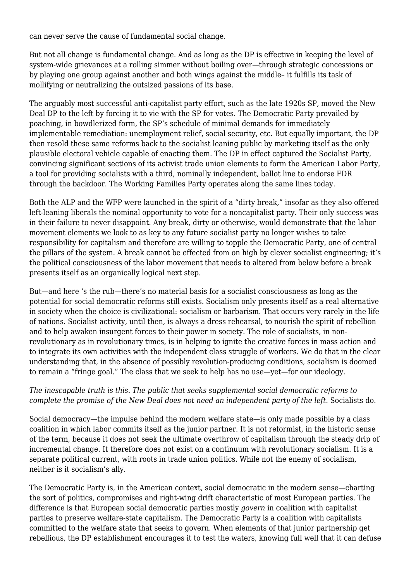can never serve the cause of fundamental social change.

But not all change is fundamental change. And as long as the DP is effective in keeping the level of system-wide grievances at a rolling simmer without boiling over—through strategic concessions or by playing one group against another and both wings against the middle– it fulfills its task of mollifying or neutralizing the outsized passions of its base.

The arguably most successful anti-capitalist party effort, such as the late 1920s SP, moved the New Deal DP to the left by forcing it to vie with the SP for votes. The Democratic Party prevailed by poaching, in bowdlerized form, the SP's schedule of minimal demands for immediately implementable remediation: unemployment relief, social security, etc. But equally important, the DP then resold these same reforms back to the socialist leaning public by marketing itself as the only plausible electoral vehicle capable of enacting them. The DP in effect captured the Socialist Party, convincing significant sections of its activist trade union elements to form the American Labor Party, a tool for providing socialists with a third, nominally independent, ballot line to endorse FDR through the backdoor. The Working Families Party operates along the same lines today.

Both the ALP and the WFP were launched in the spirit of a "dirty break," insofar as they also offered left-leaning liberals the nominal opportunity to vote for a noncapitalist party. Their only success was in their failure to never disappoint. Any break, dirty or otherwise, would demonstrate that the labor movement elements we look to as key to any future socialist party no longer wishes to take responsibility for capitalism and therefore are willing to topple the Democratic Party, one of central the pillars of the system. A break cannot be effected from on high by clever socialist engineering; it's the political consciousness of the labor movement that needs to altered from below before a break presents itself as an organically logical next step.

But—and here 's the rub—there's no material basis for a socialist consciousness as long as the potential for social democratic reforms still exists. Socialism only presents itself as a real alternative in society when the choice is civilizational: socialism or barbarism. That occurs very rarely in the life of nations. Socialist activity, until then, is always a dress rehearsal, to nourish the spirit of rebellion and to help awaken insurgent forces to their power in society. The role of socialists, in nonrevolutionary as in revolutionary times, is in helping to ignite the creative forces in mass action and to integrate its own activities with the independent class struggle of workers. We do that in the clear understanding that, in the absence of possibly revolution-producing conditions, socialism is doomed to remain a "fringe goal." The class that we seek to help has no use—yet—for our ideology.

## *The inescapable truth is this. The public that seeks supplemental social democratic reforms to complete the promise of the New Deal does not need an independent party of the left*. Socialists do.

Social democracy—the impulse behind the modern welfare state—is only made possible by a class coalition in which labor commits itself as the junior partner. It is not reformist, in the historic sense of the term, because it does not seek the ultimate overthrow of capitalism through the steady drip of incremental change. It therefore does not exist on a continuum with revolutionary socialism. It is a separate political current, with roots in trade union politics. While not the enemy of socialism, neither is it socialism's ally.

The Democratic Party is, in the American context, social democratic in the modern sense—charting the sort of politics, compromises and right-wing drift characteristic of most European parties. The difference is that European social democratic parties mostly *govern* in coalition with capitalist parties to preserve welfare-state capitalism. The Democratic Party is a coalition with capitalists committed to the welfare state that seeks to govern. When elements of that junior partnership get rebellious, the DP establishment encourages it to test the waters, knowing full well that it can defuse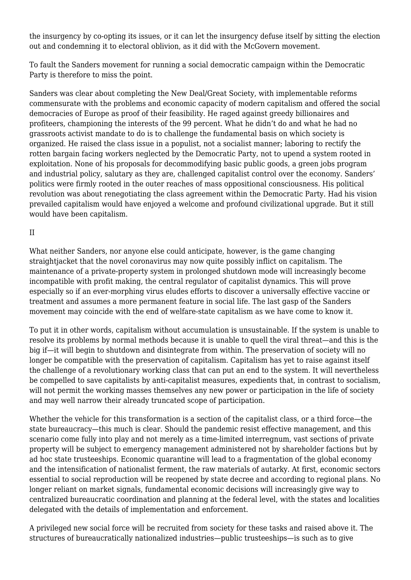the insurgency by co-opting its issues, or it can let the insurgency defuse itself by sitting the election out and condemning it to electoral oblivion, as it did with the McGovern movement.

To fault the Sanders movement for running a social democratic campaign within the Democratic Party is therefore to miss the point.

Sanders was clear about completing the New Deal/Great Society, with implementable reforms commensurate with the problems and economic capacity of modern capitalism and offered the social democracies of Europe as proof of their feasibility. He raged against greedy billionaires and profiteers, championing the interests of the 99 percent. What he didn't do and what he had no grassroots activist mandate to do is to challenge the fundamental basis on which society is organized. He raised the class issue in a populist, not a socialist manner; laboring to rectify the rotten bargain facing workers neglected by the Democratic Party, not to upend a system rooted in exploitation. None of his proposals for decommodifying basic public goods, a green jobs program and industrial policy, salutary as they are, challenged capitalist control over the economy. Sanders' politics were firmly rooted in the outer reaches of mass oppositional consciousness. His political revolution was about renegotiating the class agreement within the Democratic Party. Had his vision prevailed capitalism would have enjoyed a welcome and profound civilizational upgrade. But it still would have been capitalism.

## II

What neither Sanders, nor anyone else could anticipate, however, is the game changing straightjacket that the novel coronavirus may now quite possibly inflict on capitalism. The maintenance of a private-property system in prolonged shutdown mode will increasingly become incompatible with profit making, the central regulator of capitalist dynamics. This will prove especially so if an ever-morphing virus eludes efforts to discover a universally effective vaccine or treatment and assumes a more permanent feature in social life. The last gasp of the Sanders movement may coincide with the end of welfare-state capitalism as we have come to know it.

To put it in other words, capitalism without accumulation is unsustainable. If the system is unable to resolve its problems by normal methods because it is unable to quell the viral threat—and this is the big if—it will begin to shutdown and disintegrate from within. The preservation of society will no longer be compatible with the preservation of capitalism. Capitalism has yet to raise against itself the challenge of a revolutionary working class that can put an end to the system. It will nevertheless be compelled to save capitalists by anti-capitalist measures, expedients that, in contrast to socialism, will not permit the working masses themselves any new power or participation in the life of society and may well narrow their already truncated scope of participation.

Whether the vehicle for this transformation is a section of the capitalist class, or a third force—the state bureaucracy—this much is clear. Should the pandemic resist effective management, and this scenario come fully into play and not merely as a time-limited interregnum, vast sections of private property will be subject to emergency management administered not by shareholder factions but by ad hoc state trusteeships. Economic quarantine will lead to a fragmentation of the global economy and the intensification of nationalist ferment, the raw materials of autarky. At first, economic sectors essential to social reproduction will be reopened by state decree and according to regional plans. No longer reliant on market signals, fundamental economic decisions will increasingly give way to centralized bureaucratic coordination and planning at the federal level, with the states and localities delegated with the details of implementation and enforcement.

A privileged new social force will be recruited from society for these tasks and raised above it. The structures of bureaucratically nationalized industries—public trusteeships—is such as to give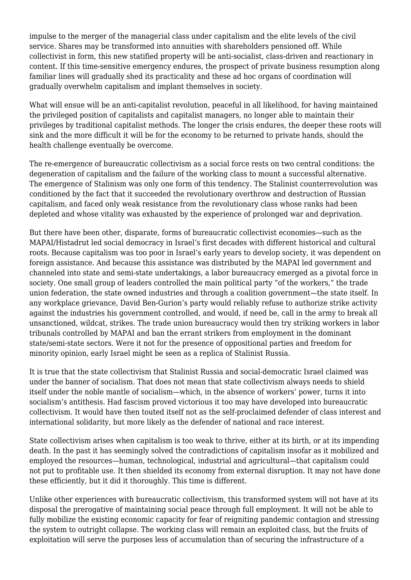impulse to the merger of the managerial class under capitalism and the elite levels of the civil service. Shares may be transformed into annuities with shareholders pensioned off. While collectivist in form, this new statified property will be anti-socialist, class-driven and reactionary in content. If this time-sensitive emergency endures, the prospect of private business resumption along familiar lines will gradually shed its practicality and these ad hoc organs of coordination will gradually overwhelm capitalism and implant themselves in society.

What will ensue will be an anti-capitalist revolution, peaceful in all likelihood, for having maintained the privileged position of capitalists and capitalist managers, no longer able to maintain their privileges by traditional capitalist methods. The longer the crisis endures, the deeper these roots will sink and the more difficult it will be for the economy to be returned to private hands, should the health challenge eventually be overcome.

The re-emergence of bureaucratic collectivism as a social force rests on two central conditions: the degeneration of capitalism and the failure of the working class to mount a successful alternative. The emergence of Stalinism was only one form of this tendency. The Stalinist counterrevolution was conditioned by the fact that it succeeded the revolutionary overthrow and destruction of Russian capitalism, and faced only weak resistance from the revolutionary class whose ranks had been depleted and whose vitality was exhausted by the experience of prolonged war and deprivation.

But there have been other, disparate, forms of bureaucratic collectivist economies—such as the MAPAI/Histadrut led social democracy in Israel's first decades with different historical and cultural roots. Because capitalism was too poor in Israel's early years to develop society, it was dependent on foreign assistance. And because this assistance was distributed by the MAPAI led government and channeled into state and semi-state undertakings, a labor bureaucracy emerged as a pivotal force in society. One small group of leaders controlled the main political party "of the workers," the trade union federation, the state owned industries and through a coalition government—the state itself. In any workplace grievance, David Ben-Gurion's party would reliably refuse to authorize strike activity against the industries his government controlled, and would, if need be, call in the army to break all unsanctioned, wildcat, strikes. The trade union bureaucracy would then try striking workers in labor tribunals controlled by MAPAI and ban the errant strikers from employment in the dominant state/semi-state sectors. Were it not for the presence of oppositional parties and freedom for minority opinion, early Israel might be seen as a replica of Stalinist Russia.

It is true that the state collectivism that Stalinist Russia and social-democratic Israel claimed was under the banner of socialism. That does not mean that state collectivism always needs to shield itself under the noble mantle of socialism—which, in the absence of workers' power, turns it into socialism's antithesis. Had fascism proved victorious it too may have developed into bureaucratic collectivism. It would have then touted itself not as the self-proclaimed defender of class interest and international solidarity, but more likely as the defender of national and race interest.

State collectivism arises when capitalism is too weak to thrive, either at its birth, or at its impending death. In the past it has seemingly solved the contradictions of capitalism insofar as it mobilized and employed the resources—human, technological, industrial and agricultural—that capitalism could not put to profitable use. It then shielded its economy from external disruption. It may not have done these efficiently, but it did it thoroughly. This time is different.

Unlike other experiences with bureaucratic collectivism, this transformed system will not have at its disposal the prerogative of maintaining social peace through full employment. It will not be able to fully mobilize the existing economic capacity for fear of reigniting pandemic contagion and stressing the system to outright collapse. The working class will remain an exploited class, but the fruits of exploitation will serve the purposes less of accumulation than of securing the infrastructure of a